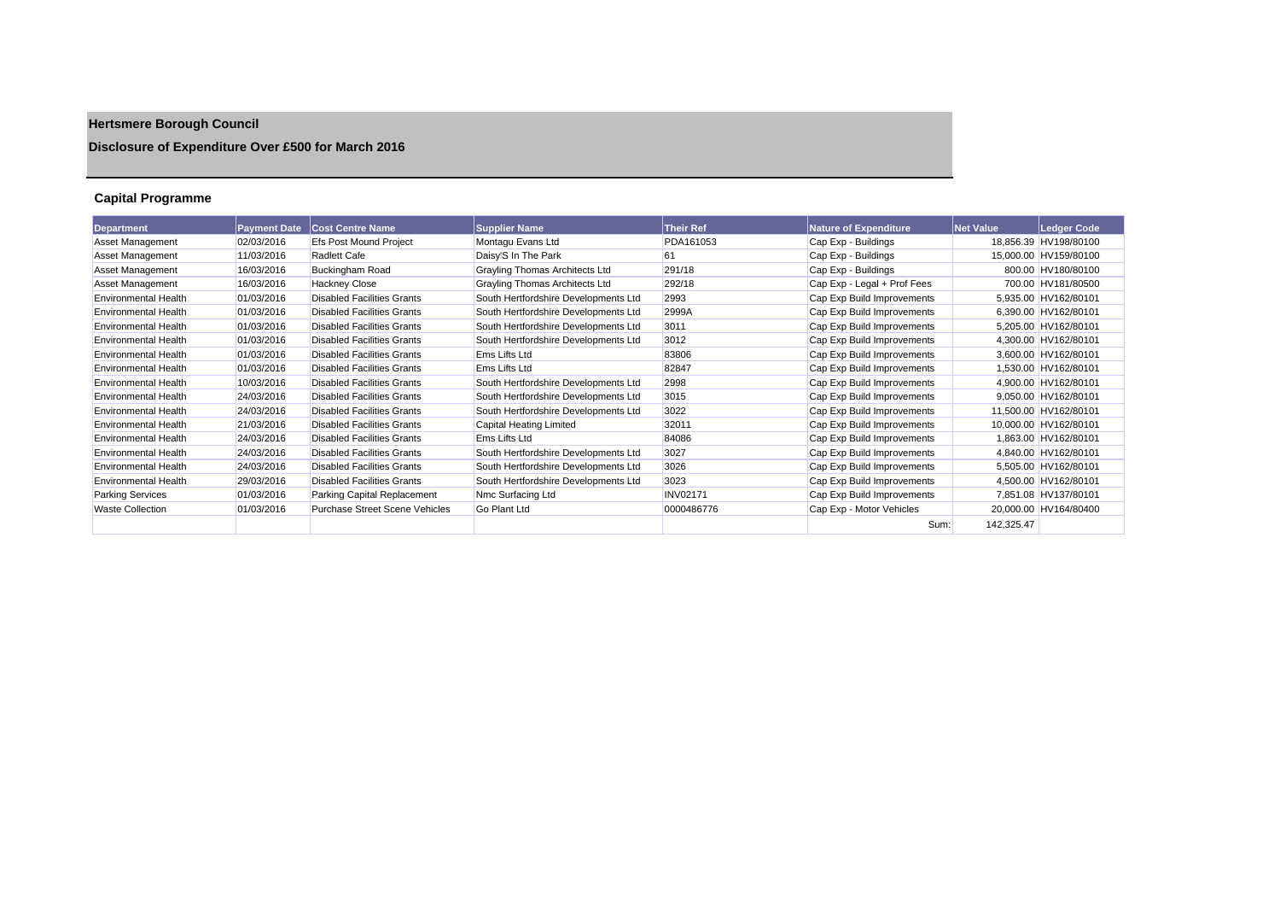# **Hertsmere Borough Council**

# **Disclosure of Expenditure Over £500 for March 2016**

# **Capital Programme**

| Department                  | <b>Payment Date</b> | <b>Cost Centre Name</b>               | <b>Supplier Name</b>                  | <b>Their Ref</b> | <b>Nature of Expenditure</b> | <b>Net Value</b> | Ledger Code           |
|-----------------------------|---------------------|---------------------------------------|---------------------------------------|------------------|------------------------------|------------------|-----------------------|
| <b>Asset Management</b>     | 02/03/2016          | <b>Efs Post Mound Project</b>         | Montagu Evans Ltd                     | PDA161053        | Cap Exp - Buildings          |                  | 18,856.39 HV198/80100 |
| Asset Management            | 11/03/2016          | <b>Radlett Cafe</b>                   | Daisy'S In The Park                   | 61               | Cap Exp - Buildings          |                  | 15,000.00 HV159/80100 |
| Asset Management            | 16/03/2016          | <b>Buckingham Road</b>                | <b>Grayling Thomas Architects Ltd</b> | 291/18           | Cap Exp - Buildings          |                  | 800.00 HV180/80100    |
| <b>Asset Management</b>     | 16/03/2016          | <b>Hackney Close</b>                  | <b>Grayling Thomas Architects Ltd</b> | 292/18           | Cap Exp - Legal + Prof Fees  |                  | 700.00 HV181/80500    |
| <b>Environmental Health</b> | 01/03/2016          | <b>Disabled Facilities Grants</b>     | South Hertfordshire Developments Ltd  | 2993             | Cap Exp Build Improvements   |                  | 5,935.00 HV162/80101  |
| <b>Environmental Health</b> | 01/03/2016          | <b>Disabled Facilities Grants</b>     | South Hertfordshire Developments Ltd  | 2999A            | Cap Exp Build Improvements   |                  | 6,390.00 HV162/80101  |
| <b>Environmental Health</b> | 01/03/2016          | <b>Disabled Facilities Grants</b>     | South Hertfordshire Developments Ltd  | 3011             | Cap Exp Build Improvements   |                  | 5,205.00 HV162/80101  |
| <b>Environmental Health</b> | 01/03/2016          | <b>Disabled Facilities Grants</b>     | South Hertfordshire Developments Ltd  | 3012             | Cap Exp Build Improvements   |                  | 4,300.00 HV162/80101  |
| <b>Environmental Health</b> | 01/03/2016          | <b>Disabled Facilities Grants</b>     | Ems Lifts Ltd                         | 83806            | Cap Exp Build Improvements   |                  | 3.600.00 HV162/80101  |
| <b>Environmental Health</b> | 01/03/2016          | Disabled Facilities Grants            | Ems Lifts Ltd                         | 82847            | Cap Exp Build Improvements   |                  | 1.530.00 HV162/80101  |
| <b>Environmental Health</b> | 10/03/2016          | <b>Disabled Facilities Grants</b>     | South Hertfordshire Developments Ltd  | 2998             | Cap Exp Build Improvements   |                  | 4,900.00 HV162/80101  |
| <b>Environmental Health</b> | 24/03/2016          | Disabled Facilities Grants            | South Hertfordshire Developments Ltd  | 3015             | Cap Exp Build Improvements   |                  | 9.050.00 HV162/80101  |
| <b>Environmental Health</b> | 24/03/2016          | <b>Disabled Facilities Grants</b>     | South Hertfordshire Developments Ltd  | 3022             | Cap Exp Build Improvements   |                  | 11,500.00 HV162/80101 |
| <b>Environmental Health</b> | 21/03/2016          | <b>Disabled Facilities Grants</b>     | Capital Heating Limited               | 32011            | Cap Exp Build Improvements   |                  | 10,000.00 HV162/80101 |
| <b>Environmental Health</b> | 24/03/2016          | Disabled Facilities Grants            | <b>Ems Lifts Ltd</b>                  | 84086            | Cap Exp Build Improvements   |                  | 1.863.00 HV162/80101  |
| <b>Environmental Health</b> | 24/03/2016          | <b>Disabled Facilities Grants</b>     | South Hertfordshire Developments Ltd  | 3027             | Cap Exp Build Improvements   |                  | 4,840.00 HV162/80101  |
| <b>Environmental Health</b> | 24/03/2016          | <b>Disabled Facilities Grants</b>     | South Hertfordshire Developments Ltd  | 3026             | Cap Exp Build Improvements   |                  | 5,505.00 HV162/80101  |
| <b>Environmental Health</b> | 29/03/2016          | <b>Disabled Facilities Grants</b>     | South Hertfordshire Developments Ltd  | 3023             | Cap Exp Build Improvements   |                  | 4,500.00 HV162/80101  |
| <b>Parking Services</b>     | 01/03/2016          | Parking Capital Replacement           | Nmc Surfacing Ltd                     | <b>INV02171</b>  | Cap Exp Build Improvements   |                  | 7,851.08 HV137/80101  |
| <b>Waste Collection</b>     | 01/03/2016          | <b>Purchase Street Scene Vehicles</b> | <b>Go Plant Ltd</b>                   | 0000486776       | Cap Exp - Motor Vehicles     |                  | 20,000.00 HV164/80400 |
|                             |                     |                                       |                                       |                  | Sum:                         | 142,325.47       |                       |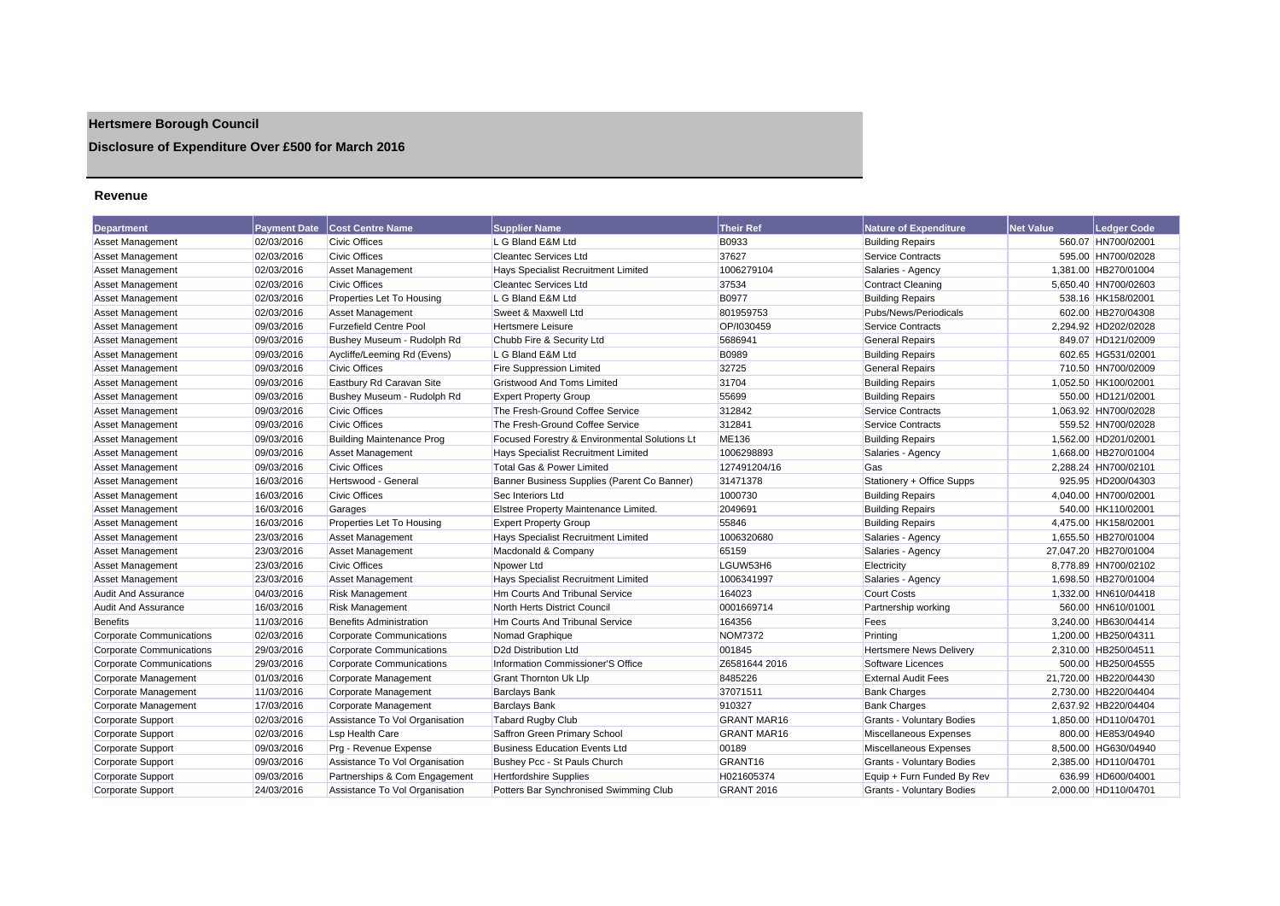# **Hertsmere Borough Council**

# **Disclosure of Expenditure Over £500 for March 2016**

### **Revenue**

| <b>Department</b>               | <b>Payment Date</b> | <b>Cost Centre Name</b>          | <b>Supplier Name</b>                          | <b>Their Ref</b>   | <b>Nature of Expenditure</b>     | <b>Net Value</b> | <b>Ledger Code</b>    |
|---------------------------------|---------------------|----------------------------------|-----------------------------------------------|--------------------|----------------------------------|------------------|-----------------------|
| <b>Asset Management</b>         | 02/03/2016          | <b>Civic Offices</b>             | L G Bland E&M Ltd                             | B0933              | <b>Building Repairs</b>          |                  | 560.07 HN700/02001    |
| <b>Asset Management</b>         | 02/03/2016          | <b>Civic Offices</b>             | <b>Cleantec Services Ltd</b>                  | 37627              | Service Contracts                |                  | 595.00 HN700/02028    |
| Asset Management                | 02/03/2016          | Asset Management                 | Hays Specialist Recruitment Limited           | 1006279104         | Salaries - Agency                |                  | 1,381.00 HB270/01004  |
| <b>Asset Management</b>         | 02/03/2016          | <b>Civic Offices</b>             | <b>Cleantec Services Ltd</b>                  | 37534              | <b>Contract Cleaning</b>         |                  | 5,650.40 HN700/02603  |
| Asset Management                | 02/03/2016          | Properties Let To Housing        | L G Bland E&M Ltd                             | B0977              | <b>Building Repairs</b>          |                  | 538.16 HK158/02001    |
| <b>Asset Management</b>         | 02/03/2016          | <b>Asset Management</b>          | Sweet & Maxwell Ltd                           | 801959753          | Pubs/News/Periodicals            |                  | 602.00 HB270/04308    |
| <b>Asset Management</b>         | 09/03/2016          | <b>Furzefield Centre Pool</b>    | <b>Hertsmere Leisure</b>                      | OP/I030459         | <b>Service Contracts</b>         |                  | 2,294.92 HD202/02028  |
| <b>Asset Management</b>         | 09/03/2016          | Bushey Museum - Rudolph Rd       | Chubb Fire & Security Ltd                     | 5686941            | <b>General Repairs</b>           |                  | 849.07 HD121/02009    |
| <b>Asset Management</b>         | 09/03/2016          | Aycliffe/Leeming Rd (Evens)      | L G Bland E&M Ltd                             | B0989              | <b>Building Repairs</b>          |                  | 602.65 HG531/02001    |
| <b>Asset Management</b>         | 09/03/2016          | <b>Civic Offices</b>             | <b>Fire Suppression Limited</b>               | 32725              | <b>General Repairs</b>           |                  | 710.50 HN700/02009    |
| <b>Asset Management</b>         | 09/03/2016          | Eastbury Rd Caravan Site         | <b>Gristwood And Toms Limited</b>             | 31704              | <b>Building Repairs</b>          |                  | 1,052.50 HK100/02001  |
| <b>Asset Management</b>         | 09/03/2016          | Bushey Museum - Rudolph Rd       | <b>Expert Property Group</b>                  | 55699              | <b>Building Repairs</b>          |                  | 550.00 HD121/02001    |
| <b>Asset Management</b>         | 09/03/2016          | <b>Civic Offices</b>             | The Fresh-Ground Coffee Service               | 312842             | <b>Service Contracts</b>         |                  | 1,063.92 HN700/02028  |
| <b>Asset Management</b>         | 09/03/2016          | <b>Civic Offices</b>             | The Fresh-Ground Coffee Service               | 312841             | <b>Service Contracts</b>         |                  | 559.52 HN700/02028    |
| <b>Asset Management</b>         | 09/03/2016          | <b>Building Maintenance Prog</b> | Focused Forestry & Environmental Solutions Lt | <b>ME136</b>       | <b>Building Repairs</b>          |                  | 1,562.00 HD201/02001  |
| <b>Asset Management</b>         | 09/03/2016          | Asset Management                 | Hays Specialist Recruitment Limited           | 1006298893         | Salaries - Agency                |                  | 1,668.00 HB270/01004  |
| Asset Management                | 09/03/2016          | <b>Civic Offices</b>             | <b>Total Gas &amp; Power Limited</b>          | 127491204/16       | Gas                              |                  | 2.288.24 HN700/02101  |
| <b>Asset Management</b>         | 16/03/2016          | Hertswood - General              | Banner Business Supplies (Parent Co Banner)   | 31471378           | Stationery + Office Supps        |                  | 925.95 HD200/04303    |
| <b>Asset Management</b>         | 16/03/2016          | <b>Civic Offices</b>             | Sec Interiors Ltd                             | 1000730            | <b>Building Repairs</b>          |                  | 4,040.00 HN700/02001  |
| Asset Management                | 16/03/2016          | Garages                          | Elstree Property Maintenance Limited.         | 2049691            | <b>Building Repairs</b>          |                  | 540.00 HK110/02001    |
| Asset Management                | 16/03/2016          | Properties Let To Housing        | <b>Expert Property Group</b>                  | 55846              | <b>Building Repairs</b>          |                  | 4,475.00 HK158/02001  |
| <b>Asset Management</b>         | 23/03/2016          | Asset Management                 | Hays Specialist Recruitment Limited           | 1006320680         | Salaries - Agency                |                  | 1,655.50 HB270/01004  |
| <b>Asset Management</b>         | 23/03/2016          | <b>Asset Management</b>          | Macdonald & Company                           | 65159              | Salaries - Agency                |                  | 27,047.20 HB270/01004 |
| <b>Asset Management</b>         | 23/03/2016          | <b>Civic Offices</b>             | Npower Ltd                                    | LGUW53H6           | Electricity                      |                  | 8,778.89 HN700/02102  |
| <b>Asset Management</b>         | 23/03/2016          | Asset Management                 | Hays Specialist Recruitment Limited           | 1006341997         | Salaries - Agency                |                  | 1,698.50 HB270/01004  |
| <b>Audit And Assurance</b>      | 04/03/2016          | <b>Risk Management</b>           | Hm Courts And Tribunal Service                | 164023             | <b>Court Costs</b>               |                  | 1,332.00 HN610/04418  |
| <b>Audit And Assurance</b>      | 16/03/2016          | Risk Management                  | North Herts District Council                  | 0001669714         | Partnership working              |                  | 560.00 HN610/01001    |
| <b>Benefits</b>                 | 11/03/2016          | <b>Benefits Administration</b>   | Hm Courts And Tribunal Service                | 164356             | Fees                             |                  | 3,240.00 HB630/04414  |
| <b>Corporate Communications</b> | 02/03/2016          | <b>Corporate Communications</b>  | Nomad Graphique                               | <b>NOM7372</b>     | Printing                         |                  | 1,200.00 HB250/04311  |
| <b>Corporate Communications</b> | 29/03/2016          | <b>Corporate Communications</b>  | D <sub>2</sub> d Distribution Ltd             | 001845             | <b>Hertsmere News Delivery</b>   |                  | 2,310.00 HB250/04511  |
| <b>Corporate Communications</b> | 29/03/2016          | <b>Corporate Communications</b>  | Information Commissioner'S Office             | Z6581644 2016      | Software Licences                |                  | 500.00 HB250/04555    |
| Corporate Management            | 01/03/2016          | Corporate Management             | <b>Grant Thornton Uk Lip</b>                  | 8485226            | <b>External Audit Fees</b>       |                  | 21,720.00 HB220/04430 |
| Corporate Management            | 11/03/2016          | Corporate Management             | <b>Barclays Bank</b>                          | 37071511           | <b>Bank Charges</b>              |                  | 2.730.00 HB220/04404  |
| Corporate Management            | 17/03/2016          | Corporate Management             | <b>Barclays Bank</b>                          | 910327             | <b>Bank Charges</b>              |                  | 2,637.92 HB220/04404  |
| Corporate Support               | 02/03/2016          | Assistance To Vol Organisation   | Tabard Rugby Club                             | <b>GRANT MAR16</b> | <b>Grants - Voluntary Bodies</b> |                  | 1,850.00 HD110/04701  |
| Corporate Support               | 02/03/2016          | <b>Lsp Health Care</b>           | Saffron Green Primary School                  | <b>GRANT MAR16</b> | Miscellaneous Expenses           |                  | 800.00 HE853/04940    |
| <b>Corporate Support</b>        | 09/03/2016          | Prg - Revenue Expense            | <b>Business Education Events Ltd</b>          | 00189              | Miscellaneous Expenses           |                  | 8,500.00 HG630/04940  |
| Corporate Support               | 09/03/2016          | Assistance To Vol Organisation   | Bushey Pcc - St Pauls Church                  | GRANT16            | <b>Grants - Voluntary Bodies</b> |                  | 2,385.00 HD110/04701  |
| Corporate Support               | 09/03/2016          | Partnerships & Com Engagement    | <b>Hertfordshire Supplies</b>                 | H021605374         | Equip + Furn Funded By Rev       |                  | 636.99 HD600/04001    |
| <b>Corporate Support</b>        | 24/03/2016          | Assistance To Vol Organisation   | Potters Bar Synchronised Swimming Club        | <b>GRANT 2016</b>  | <b>Grants - Voluntary Bodies</b> |                  | 2.000.00 HD110/04701  |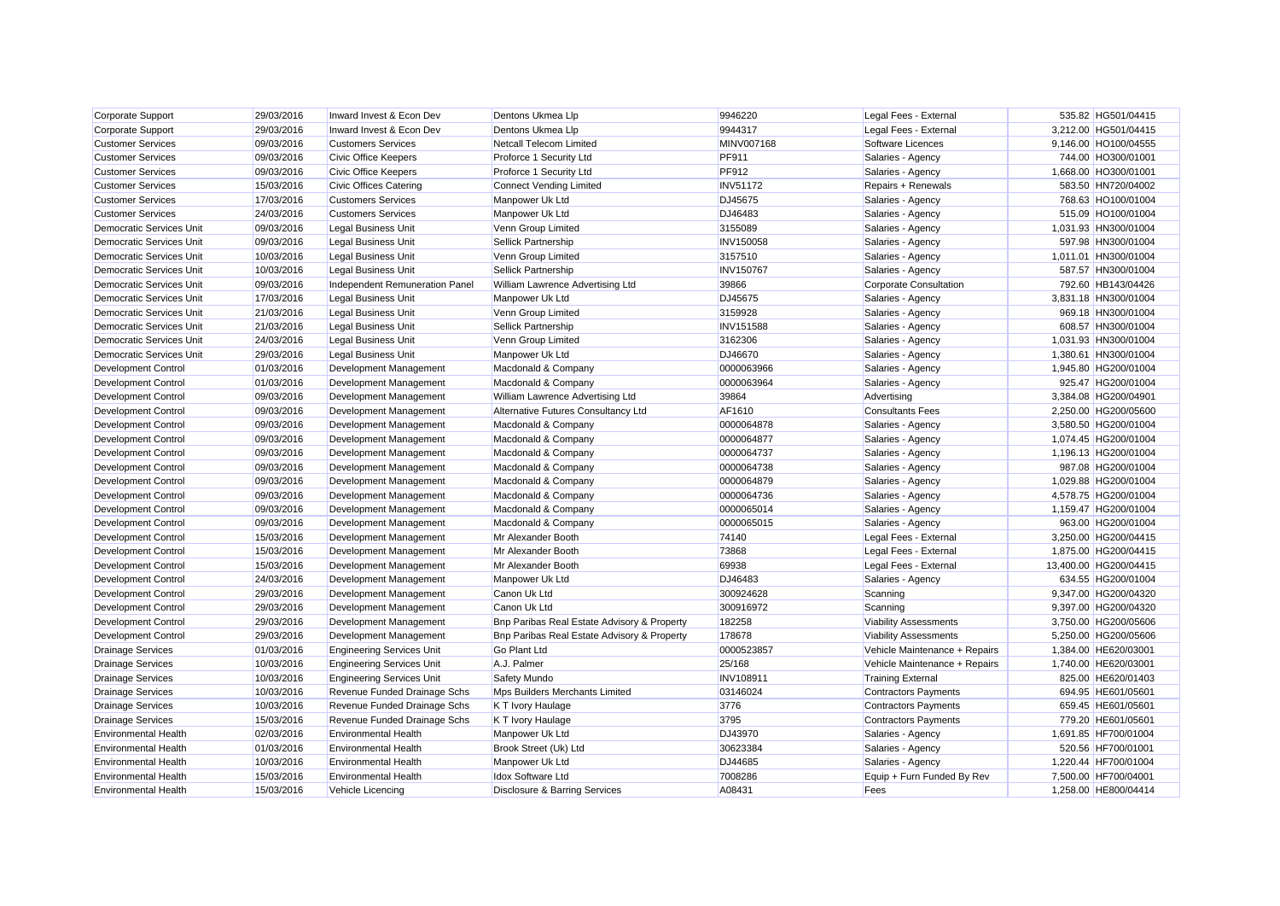| Corporate Support               | 29/03/2016 | Inward Invest & Econ Dev         | Dentons Ukmea Llp                           | 9946220          | Legal Fees - External         | 535.82 HG501/04415    |
|---------------------------------|------------|----------------------------------|---------------------------------------------|------------------|-------------------------------|-----------------------|
| Corporate Support               | 29/03/2016 | Inward Invest & Econ Dev         | Dentons Ukmea Llp                           | 9944317          | Legal Fees - External         | 3,212.00 HG501/04415  |
| <b>Customer Services</b>        | 09/03/2016 | <b>Customers Services</b>        | Netcall Telecom Limited                     | MINV007168       | Software Licences             | 9,146.00 HO100/04555  |
| <b>Customer Services</b>        | 09/03/2016 | Civic Office Keepers             | Proforce 1 Security Ltd                     | PF911            | Salaries - Agency             | 744.00 HO300/01001    |
| <b>Customer Services</b>        | 09/03/2016 | Civic Office Keepers             | Proforce 1 Security Ltd                     | PF912            | Salaries - Agency             | 1,668.00 HO300/01001  |
| <b>Customer Services</b>        | 15/03/2016 | Civic Offices Catering           | <b>Connect Vending Limited</b>              | <b>INV51172</b>  | Repairs + Renewals            | 583.50 HN720/04002    |
| <b>Customer Services</b>        | 17/03/2016 | <b>Customers Services</b>        | Manpower Uk Ltd                             | DJ45675          | Salaries - Agency             | 768.63 HO100/01004    |
| <b>Customer Services</b>        | 24/03/2016 | <b>Customers Services</b>        | Manpower Uk Ltd                             | DJ46483          | Salaries - Agency             | 515.09 HO100/01004    |
| <b>Democratic Services Unit</b> | 09/03/2016 | Legal Business Unit              | Venn Group Limited                          | 3155089          | Salaries - Agency             | 1,031.93 HN300/01004  |
| <b>Democratic Services Unit</b> | 09/03/2016 | Legal Business Unit              | Sellick Partnership                         | <b>INV150058</b> | Salaries - Agency             | 597.98 HN300/01004    |
| <b>Democratic Services Unit</b> | 10/03/2016 | Legal Business Unit              | Venn Group Limited                          | 3157510          | Salaries - Agency             | 1,011.01 HN300/01004  |
| <b>Democratic Services Unit</b> | 10/03/2016 | Legal Business Unit              | Sellick Partnership                         | <b>INV150767</b> | Salaries - Agency             | 587.57 HN300/01004    |
| <b>Democratic Services Unit</b> | 09/03/2016 | Independent Remuneration Panel   | William Lawrence Advertising Ltd            | 39866            | <b>Corporate Consultation</b> | 792.60 HB143/04426    |
| <b>Democratic Services Unit</b> | 17/03/2016 | <b>Legal Business Unit</b>       | Manpower Uk Ltd                             | DJ45675          | Salaries - Agency             | 3,831.18 HN300/01004  |
| <b>Democratic Services Unit</b> | 21/03/2016 | <b>Legal Business Unit</b>       | Venn Group Limited                          | 3159928          | Salaries - Agency             | 969.18 HN300/01004    |
| <b>Democratic Services Unit</b> | 21/03/2016 | Legal Business Unit              | Sellick Partnership                         | <b>INV151588</b> | Salaries - Agency             | 608.57 HN300/01004    |
| <b>Democratic Services Unit</b> | 24/03/2016 | Legal Business Unit              | Venn Group Limited                          | 3162306          | Salaries - Agency             | 1,031.93 HN300/01004  |
| <b>Democratic Services Unit</b> | 29/03/2016 | Legal Business Unit              | Manpower Uk Ltd                             | DJ46670          | Salaries - Agency             | 1,380.61 HN300/01004  |
| <b>Development Control</b>      | 01/03/2016 | Development Management           | Macdonald & Company                         | 0000063966       | Salaries - Agency             | 1,945.80 HG200/01004  |
| <b>Development Control</b>      | 01/03/2016 | Development Management           | Macdonald & Company                         | 0000063964       | Salaries - Agency             | 925.47 HG200/01004    |
| <b>Development Control</b>      | 09/03/2016 | Development Management           | William Lawrence Advertising Ltd            | 39864            | Advertising                   | 3,384.08 HG200/04901  |
| <b>Development Control</b>      | 09/03/2016 | Development Management           | Alternative Futures Consultancy Ltd         | AF1610           | <b>Consultants Fees</b>       | 2.250.00 HG200/05600  |
| Development Control             | 09/03/2016 | Development Management           | Macdonald & Company                         | 0000064878       | Salaries - Agency             | 3,580.50 HG200/01004  |
| <b>Development Control</b>      | 09/03/2016 | Development Management           | Macdonald & Company                         | 0000064877       | Salaries - Agency             | 1,074.45 HG200/01004  |
| <b>Development Control</b>      | 09/03/2016 | Development Management           | Macdonald & Company                         | 0000064737       | Salaries - Agency             | 1,196.13 HG200/01004  |
| <b>Development Control</b>      | 09/03/2016 | Development Management           | Macdonald & Company                         | 0000064738       | Salaries - Agency             | 987.08 HG200/01004    |
| Development Control             | 09/03/2016 | Development Management           | Macdonald & Company                         | 0000064879       | Salaries - Agency             | 1,029.88 HG200/01004  |
| <b>Development Control</b>      | 09/03/2016 | Development Management           | Macdonald & Company                         | 0000064736       | Salaries - Agency             | 4,578.75 HG200/01004  |
| <b>Development Control</b>      | 09/03/2016 | Development Management           | Macdonald & Company                         | 0000065014       | Salaries - Agency             | 1,159.47 HG200/01004  |
| <b>Development Control</b>      | 09/03/2016 | Development Management           | Macdonald & Company                         | 0000065015       | Salaries - Agency             | 963.00 HG200/01004    |
| <b>Development Control</b>      | 15/03/2016 | Development Management           | Mr Alexander Booth                          | 74140            | Legal Fees - External         | 3,250.00 HG200/04415  |
| <b>Development Control</b>      | 15/03/2016 | Development Management           | Mr Alexander Booth                          | 73868            | Legal Fees - External         | 1,875.00 HG200/04415  |
| <b>Development Control</b>      | 15/03/2016 | Development Management           | Mr Alexander Booth                          | 69938            | Legal Fees - External         | 13,400.00 HG200/04415 |
| <b>Development Control</b>      | 24/03/2016 | Development Management           | Manpower Uk Ltd                             | DJ46483          | Salaries - Agency             | 634.55 HG200/01004    |
| <b>Development Control</b>      | 29/03/2016 | Development Management           | Canon Uk Ltd                                | 300924628        | Scanning                      | 9,347.00 HG200/04320  |
| <b>Development Control</b>      | 29/03/2016 | Development Management           | Canon Uk Ltd                                | 300916972        | Scanning                      | 9,397.00 HG200/04320  |
| <b>Development Control</b>      | 29/03/2016 | Development Management           | Bnp Paribas Real Estate Advisory & Property | 182258           | <b>Viability Assessments</b>  | 3,750.00 HG200/05606  |
| Development Control             | 29/03/2016 | Development Management           | Bnp Paribas Real Estate Advisory & Property | 178678           | <b>Viability Assessments</b>  | 5,250.00 HG200/05606  |
| <b>Drainage Services</b>        | 01/03/2016 | <b>Engineering Services Unit</b> | <b>Go Plant Ltd</b>                         | 0000523857       | Vehicle Maintenance + Repairs | 1,384.00 HE620/03001  |
| <b>Drainage Services</b>        | 10/03/2016 | <b>Engineering Services Unit</b> | A.J. Palmer                                 | 25/168           | Vehicle Maintenance + Repairs | 1,740.00 HE620/03001  |
| <b>Drainage Services</b>        | 10/03/2016 | <b>Engineering Services Unit</b> | Safety Mundo                                | INV108911        | <b>Training External</b>      | 825.00 HE620/01403    |
| <b>Drainage Services</b>        | 10/03/2016 | Revenue Funded Drainage Schs     | Mps Builders Merchants Limited              | 03146024         | <b>Contractors Payments</b>   | 694.95 HE601/05601    |
| <b>Drainage Services</b>        | 10/03/2016 | Revenue Funded Drainage Schs     | K T Ivory Haulage                           | 3776             | <b>Contractors Payments</b>   | 659.45 HE601/05601    |
| <b>Drainage Services</b>        | 15/03/2016 | Revenue Funded Drainage Schs     | K T Ivory Haulage                           | 3795             | <b>Contractors Payments</b>   | 779.20 HE601/05601    |
| <b>Environmental Health</b>     | 02/03/2016 | <b>Environmental Health</b>      | Manpower Uk Ltd                             | DJ43970          | Salaries - Agency             | 1,691.85 HF700/01004  |
| <b>Environmental Health</b>     | 01/03/2016 | <b>Environmental Health</b>      | Brook Street (Uk) Ltd                       | 30623384         | Salaries - Agency             | 520.56 HF700/01001    |
| <b>Environmental Health</b>     | 10/03/2016 | <b>Environmental Health</b>      | Manpower Uk Ltd                             | DJ44685          | Salaries - Agency             | 1,220.44 HF700/01004  |
| <b>Environmental Health</b>     | 15/03/2016 | <b>Environmental Health</b>      | <b>Idox Software Ltd</b>                    | 7008286          | Equip + Furn Funded By Rev    | 7.500.00 HF700/04001  |
| <b>Environmental Health</b>     | 15/03/2016 | Vehicle Licencing                | Disclosure & Barring Services               | A08431           | Fees                          | 1.258.00 HE800/04414  |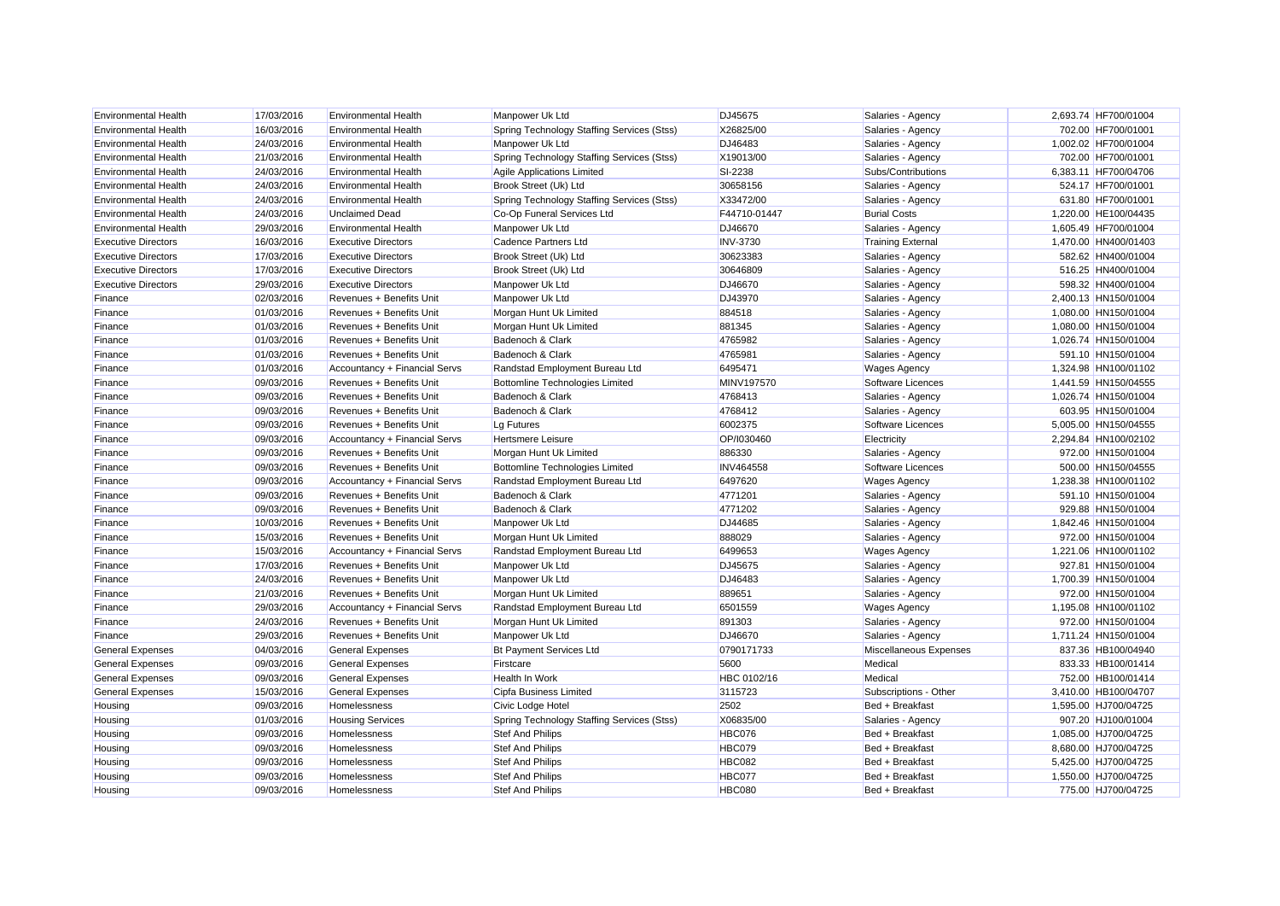| <b>Environmental Health</b> | 17/03/2016 | <b>Environmental Health</b>   | Manpower Uk Ltd                            | DJ45675           | Salaries - Agency        | 2,693.74 HF700/01004 |
|-----------------------------|------------|-------------------------------|--------------------------------------------|-------------------|--------------------------|----------------------|
| <b>Environmental Health</b> | 16/03/2016 | <b>Environmental Health</b>   | Spring Technology Staffing Services (Stss) | X26825/00         | Salaries - Agency        | 702.00 HF700/01001   |
| <b>Environmental Health</b> | 24/03/2016 | <b>Environmental Health</b>   | Manpower Uk Ltd                            | DJ46483           | Salaries - Agency        | 1,002.02 HF700/01004 |
| <b>Environmental Health</b> | 21/03/2016 | <b>Environmental Health</b>   | Spring Technology Staffing Services (Stss) | X19013/00         | Salaries - Agency        | 702.00 HF700/01001   |
| <b>Environmental Health</b> | 24/03/2016 | <b>Environmental Health</b>   | Agile Applications Limited                 | SI-2238           | Subs/Contributions       | 6,383.11 HF700/04706 |
| <b>Environmental Health</b> | 24/03/2016 | <b>Environmental Health</b>   | Brook Street (Uk) Ltd                      | 30658156          | Salaries - Agency        | 524.17 HF700/01001   |
| <b>Environmental Health</b> | 24/03/2016 | <b>Environmental Health</b>   | Spring Technology Staffing Services (Stss) | X33472/00         | Salaries - Agency        | 631.80 HF700/01001   |
| <b>Environmental Health</b> | 24/03/2016 | <b>Unclaimed Dead</b>         | Co-Op Funeral Services Ltd                 | F44710-01447      | <b>Burial Costs</b>      | 1,220.00 HE100/04435 |
| <b>Environmental Health</b> | 29/03/2016 | <b>Environmental Health</b>   | Manpower Uk Ltd                            | DJ46670           | Salaries - Agency        | 1,605.49 HF700/01004 |
| <b>Executive Directors</b>  | 16/03/2016 | <b>Executive Directors</b>    | Cadence Partners Ltd                       | <b>INV-3730</b>   | <b>Training External</b> | 1,470.00 HN400/01403 |
| <b>Executive Directors</b>  | 17/03/2016 | <b>Executive Directors</b>    | Brook Street (Uk) Ltd                      | 30623383          | Salaries - Agency        | 582.62 HN400/01004   |
| <b>Executive Directors</b>  | 17/03/2016 | <b>Executive Directors</b>    | Brook Street (Uk) Ltd                      | 30646809          | Salaries - Agency        | 516.25 HN400/01004   |
| <b>Executive Directors</b>  | 29/03/2016 | <b>Executive Directors</b>    | Manpower Uk Ltd                            | DJ46670           | Salaries - Agency        | 598.32 HN400/01004   |
| Finance                     | 02/03/2016 | Revenues + Benefits Unit      | Manpower Uk Ltd                            | DJ43970           | Salaries - Agency        | 2,400.13 HN150/01004 |
| Finance                     | 01/03/2016 | Revenues + Benefits Unit      | Morgan Hunt Uk Limited                     | 884518            | Salaries - Agency        | 1,080.00 HN150/01004 |
| Finance                     | 01/03/2016 | Revenues + Benefits Unit      | Morgan Hunt Uk Limited                     | 881345            | Salaries - Agency        | 1,080.00 HN150/01004 |
| Finance                     | 01/03/2016 | Revenues + Benefits Unit      | Badenoch & Clark                           | 4765982           | Salaries - Agency        | 1,026.74 HN150/01004 |
| Finance                     | 01/03/2016 | Revenues + Benefits Unit      | Badenoch & Clark                           | 4765981           | Salaries - Agency        | 591.10 HN150/01004   |
| Finance                     | 01/03/2016 | Accountancy + Financial Servs | Randstad Employment Bureau Ltd             | 6495471           | <b>Wages Agency</b>      | 1,324.98 HN100/01102 |
| Finance                     | 09/03/2016 | Revenues + Benefits Unit      | <b>Bottomline Technologies Limited</b>     | <b>MINV197570</b> | Software Licences        | 1,441.59 HN150/04555 |
| Finance                     | 09/03/2016 | Revenues + Benefits Unit      | Badenoch & Clark                           | 4768413           | Salaries - Agency        | 1,026.74 HN150/01004 |
| Finance                     | 09/03/2016 | Revenues + Benefits Unit      | Badenoch & Clark                           | 4768412           | Salaries - Agency        | 603.95 HN150/01004   |
| Finance                     | 09/03/2016 | Revenues + Benefits Unit      | Lg Futures                                 | 6002375           | Software Licences        | 5,005.00 HN150/04555 |
| Finance                     | 09/03/2016 | Accountancy + Financial Servs | Hertsmere Leisure                          | OP/I030460        | Electricity              | 2,294.84 HN100/02102 |
| Finance                     | 09/03/2016 | Revenues + Benefits Unit      | Morgan Hunt Uk Limited                     | 886330            | Salaries - Agency        | 972.00 HN150/01004   |
| Finance                     | 09/03/2016 | Revenues + Benefits Unit      | <b>Bottomline Technologies Limited</b>     | <b>INV464558</b>  | Software Licences        | 500.00 HN150/04555   |
| Finance                     | 09/03/2016 | Accountancy + Financial Servs | Randstad Employment Bureau Ltd             | 6497620           | <b>Wages Agency</b>      | 1,238.38 HN100/01102 |
| Finance                     | 09/03/2016 | Revenues + Benefits Unit      | Badenoch & Clark                           | 4771201           | Salaries - Agency        | 591.10 HN150/01004   |
| Finance                     | 09/03/2016 | Revenues + Benefits Unit      | Badenoch & Clark                           | 4771202           | Salaries - Agency        | 929.88 HN150/01004   |
| Finance                     | 10/03/2016 | Revenues + Benefits Unit      | Manpower Uk Ltd                            | DJ44685           | Salaries - Agency        | 1,842.46 HN150/01004 |
| Finance                     | 15/03/2016 | Revenues + Benefits Unit      | Morgan Hunt Uk Limited                     | 888029            | Salaries - Agency        | 972.00 HN150/01004   |
| Finance                     | 15/03/2016 | Accountancy + Financial Servs | Randstad Employment Bureau Ltd             | 6499653           | <b>Wages Agency</b>      | 1,221.06 HN100/01102 |
| Finance                     | 17/03/2016 | Revenues + Benefits Unit      | Manpower Uk Ltd                            | DJ45675           | Salaries - Agency        | 927.81 HN150/01004   |
| Finance                     | 24/03/2016 | Revenues + Benefits Unit      | Manpower Uk Ltd                            | DJ46483           | Salaries - Agency        | 1,700.39 HN150/01004 |
| Finance                     | 21/03/2016 | Revenues + Benefits Unit      | Morgan Hunt Uk Limited                     | 889651            | Salaries - Agency        | 972.00 HN150/01004   |
| Finance                     | 29/03/2016 | Accountancy + Financial Servs | Randstad Employment Bureau Ltd             | 6501559           | <b>Wages Agency</b>      | 1,195.08 HN100/01102 |
| Finance                     | 24/03/2016 | Revenues + Benefits Unit      | Morgan Hunt Uk Limited                     | 891303            | Salaries - Agency        | 972.00 HN150/01004   |
| Finance                     | 29/03/2016 | Revenues + Benefits Unit      | Manpower Uk Ltd                            | DJ46670           | Salaries - Agency        | 1,711.24 HN150/01004 |
| <b>General Expenses</b>     | 04/03/2016 | <b>General Expenses</b>       | <b>Bt Payment Services Ltd</b>             | 0790171733        | Miscellaneous Expenses   | 837.36 HB100/04940   |
| <b>General Expenses</b>     | 09/03/2016 | <b>General Expenses</b>       | Firstcare                                  | 5600              | Medical                  | 833.33 HB100/01414   |
| <b>General Expenses</b>     | 09/03/2016 | <b>General Expenses</b>       | Health In Work                             | HBC 0102/16       | Medical                  | 752.00 HB100/01414   |
| <b>General Expenses</b>     | 15/03/2016 | <b>General Expenses</b>       | Cipfa Business Limited                     | 3115723           | Subscriptions - Other    | 3,410.00 HB100/04707 |
| Housing                     | 09/03/2016 | Homelessness                  | Civic Lodge Hotel                          | 2502              | Bed + Breakfast          | 1,595.00 HJ700/04725 |
| Housing                     | 01/03/2016 | <b>Housing Services</b>       | Spring Technology Staffing Services (Stss) | X06835/00         | Salaries - Agency        | 907.20 HJ100/01004   |
| Housing                     | 09/03/2016 | Homelessness                  | <b>Stef And Philips</b>                    | <b>HBC076</b>     | Bed + Breakfast          | 1.085.00 HJ700/04725 |
| Housing                     | 09/03/2016 | Homelessness                  | Stef And Philips                           | <b>HBC079</b>     | Bed + Breakfast          | 8,680.00 HJ700/04725 |
| Housing                     | 09/03/2016 | Homelessness                  | Stef And Philips                           | <b>HBC082</b>     | Bed + Breakfast          | 5,425.00 HJ700/04725 |
| Housing                     | 09/03/2016 | Homelessness                  | <b>Stef And Philips</b>                    | <b>HBC077</b>     | Bed + Breakfast          | 1.550.00 HJ700/04725 |
| Housing                     | 09/03/2016 | Homelessness                  | <b>Stef And Philips</b>                    | <b>HBC080</b>     | Bed + Breakfast          | 775.00 HJ700/04725   |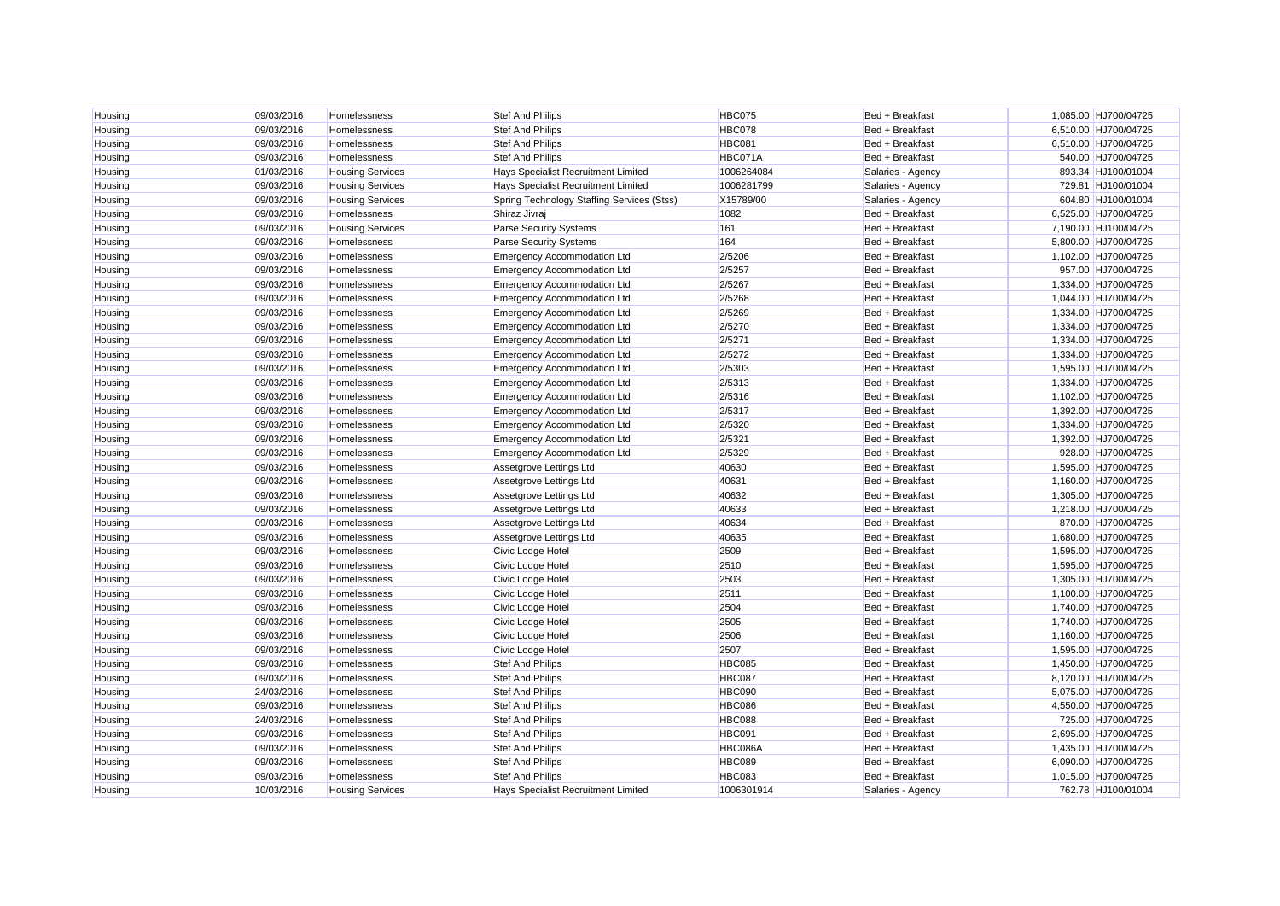| Housing | 09/03/2016 | Homelessness            | <b>Stef And Philips</b>                    | <b>HBC075</b> | Bed + Breakfast   | 1,085.00 HJ700/04725 |
|---------|------------|-------------------------|--------------------------------------------|---------------|-------------------|----------------------|
| Housing | 09/03/2016 | Homelessness            | <b>Stef And Philips</b>                    | <b>HBC078</b> | Bed + Breakfast   | 6,510.00 HJ700/04725 |
| Housing | 09/03/2016 | Homelessness            | <b>Stef And Philips</b>                    | <b>HBC081</b> | Bed + Breakfast   | 6,510.00 HJ700/04725 |
| Housing | 09/03/2016 | Homelessness            | <b>Stef And Philips</b>                    | HBC071A       | Bed + Breakfast   | 540.00 HJ700/04725   |
| Housing | 01/03/2016 | <b>Housing Services</b> | Hays Specialist Recruitment Limited        | 1006264084    | Salaries - Agency | 893.34 HJ100/01004   |
| Housing | 09/03/2016 | <b>Housing Services</b> | Hays Specialist Recruitment Limited        | 1006281799    | Salaries - Agency | 729.81 HJ100/01004   |
| Housing | 09/03/2016 | <b>Housing Services</b> | Spring Technology Staffing Services (Stss) | X15789/00     | Salaries - Agency | 604.80 HJ100/01004   |
| Housing | 09/03/2016 | Homelessness            | Shiraz Jivraj                              | 1082          | Bed + Breakfast   | 6,525.00 HJ700/04725 |
| Housing | 09/03/2016 | <b>Housing Services</b> | <b>Parse Security Systems</b>              | 161           | Bed + Breakfast   | 7,190.00 HJ100/04725 |
| Housing | 09/03/2016 | Homelessness            | <b>Parse Security Systems</b>              | 164           | Bed + Breakfast   | 5,800.00 HJ700/04725 |
| Housing | 09/03/2016 | Homelessness            | <b>Emergency Accommodation Ltd</b>         | 2/5206        | Bed + Breakfast   | 1,102.00 HJ700/04725 |
| Housing | 09/03/2016 | Homelessness            | <b>Emergency Accommodation Ltd</b>         | 2/5257        | Bed + Breakfast   | 957.00 HJ700/04725   |
| Housing | 09/03/2016 | Homelessness            | <b>Emergency Accommodation Ltd</b>         | 2/5267        | Bed + Breakfast   | 1,334.00 HJ700/04725 |
| Housing | 09/03/2016 | Homelessness            | <b>Emergency Accommodation Ltd</b>         | 2/5268        | Bed + Breakfast   | 1,044.00 HJ700/04725 |
| Housing | 09/03/2016 | Homelessness            | <b>Emergency Accommodation Ltd</b>         | 2/5269        | Bed + Breakfast   | 1,334.00 HJ700/04725 |
| Housing | 09/03/2016 | Homelessness            | <b>Emergency Accommodation Ltd</b>         | 2/5270        | Bed + Breakfast   | 1,334.00 HJ700/04725 |
| Housing | 09/03/2016 | Homelessness            | <b>Emergency Accommodation Ltd</b>         | 2/5271        | Bed + Breakfast   | 1,334.00 HJ700/04725 |
| Housing | 09/03/2016 | Homelessness            | <b>Emergency Accommodation Ltd</b>         | 2/5272        | Bed + Breakfast   | 1,334.00 HJ700/04725 |
| Housing | 09/03/2016 | Homelessness            | <b>Emergency Accommodation Ltd</b>         | 2/5303        | Bed + Breakfast   | 1,595.00 HJ700/04725 |
| Housing | 09/03/2016 | Homelessness            | <b>Emergency Accommodation Ltd</b>         | 2/5313        | Bed + Breakfast   | 1,334.00 HJ700/04725 |
| Housing | 09/03/2016 | Homelessness            | <b>Emergency Accommodation Ltd</b>         | 2/5316        | Bed + Breakfast   | 1,102.00 HJ700/04725 |
| Housing | 09/03/2016 | Homelessness            | <b>Emergency Accommodation Ltd</b>         | 2/5317        | Bed + Breakfast   | 1,392.00 HJ700/04725 |
| Housing | 09/03/2016 | Homelessness            | <b>Emergency Accommodation Ltd</b>         | 2/5320        | Bed + Breakfast   | 1,334.00 HJ700/04725 |
| Housing | 09/03/2016 | Homelessness            | <b>Emergency Accommodation Ltd</b>         | 2/5321        | Bed + Breakfast   | 1,392.00 HJ700/04725 |
| Housing | 09/03/2016 | Homelessness            | <b>Emergency Accommodation Ltd</b>         | 2/5329        | Bed + Breakfast   | 928.00 HJ700/04725   |
| Housing | 09/03/2016 | Homelessness            | Assetgrove Lettings Ltd                    | 40630         | Bed + Breakfast   | 1,595.00 HJ700/04725 |
| Housing | 09/03/2016 | Homelessness            | Assetgrove Lettings Ltd                    | 40631         | Bed + Breakfast   | 1,160.00 HJ700/04725 |
| Housing | 09/03/2016 | Homelessness            | Assetgrove Lettings Ltd                    | 40632         | Bed + Breakfast   | 1,305.00 HJ700/04725 |
| Housing | 09/03/2016 | Homelessness            | Assetgrove Lettings Ltd                    | 40633         | Bed + Breakfast   | 1,218.00 HJ700/04725 |
| Housing | 09/03/2016 | Homelessness            | Assetgrove Lettings Ltd                    | 40634         | Bed + Breakfast   | 870.00 HJ700/04725   |
| Housing | 09/03/2016 | Homelessness            | Assetgrove Lettings Ltd                    | 40635         | Bed + Breakfast   | 1,680.00 HJ700/04725 |
| Housing | 09/03/2016 | Homelessness            | Civic Lodge Hotel                          | 2509          | Bed + Breakfast   | 1,595.00 HJ700/04725 |
| Housing | 09/03/2016 | Homelessness            | Civic Lodge Hotel                          | 2510          | Bed + Breakfast   | 1,595.00 HJ700/04725 |
| Housing | 09/03/2016 | Homelessness            | Civic Lodge Hotel                          | 2503          | Bed + Breakfast   | 1,305.00 HJ700/04725 |
| Housing | 09/03/2016 | Homelessness            | Civic Lodge Hotel                          | 2511          | Bed + Breakfast   | 1,100.00 HJ700/04725 |
| Housing | 09/03/2016 | Homelessness            | Civic Lodge Hotel                          | 2504          | Bed + Breakfast   | 1,740.00 HJ700/04725 |
| Housing | 09/03/2016 | Homelessness            | Civic Lodge Hotel                          | 2505          | Bed + Breakfast   | 1,740.00 HJ700/04725 |
| Housing | 09/03/2016 | Homelessness            | Civic Lodge Hotel                          | 2506          | Bed + Breakfast   | 1,160.00 HJ700/04725 |
| Housing | 09/03/2016 | Homelessness            | Civic Lodge Hotel                          | 2507          | Bed + Breakfast   | 1.595.00 HJ700/04725 |
| Housing | 09/03/2016 | Homelessness            | <b>Stef And Philips</b>                    | <b>HBC085</b> | Bed + Breakfast   | 1,450.00 HJ700/04725 |
| Housing | 09/03/2016 | Homelessness            | <b>Stef And Philips</b>                    | <b>HBC087</b> | Bed + Breakfast   | 8,120.00 HJ700/04725 |
| Housing | 24/03/2016 | Homelessness            | <b>Stef And Philips</b>                    | <b>HBC090</b> | Bed + Breakfast   | 5,075.00 HJ700/04725 |
| Housing | 09/03/2016 | Homelessness            | <b>Stef And Philips</b>                    | <b>HBC086</b> | Bed + Breakfast   | 4,550.00 HJ700/04725 |
| Housing | 24/03/2016 | Homelessness            | <b>Stef And Philips</b>                    | <b>HBC088</b> | Bed + Breakfast   | 725.00 HJ700/04725   |
| Housing | 09/03/2016 | Homelessness            | <b>Stef And Philips</b>                    | <b>HBC091</b> | Bed + Breakfast   | 2,695.00 HJ700/04725 |
| Housing | 09/03/2016 | Homelessness            | <b>Stef And Philips</b>                    | HBC086A       | Bed + Breakfast   | 1,435.00 HJ700/04725 |
| Housing | 09/03/2016 | Homelessness            | <b>Stef And Philips</b>                    | <b>HBC089</b> | Bed + Breakfast   | 6,090.00 HJ700/04725 |
| Housing | 09/03/2016 | Homelessness            | <b>Stef And Philips</b>                    | <b>HBC083</b> | Bed + Breakfast   | 1,015.00 HJ700/04725 |
| Housing | 10/03/2016 | <b>Housing Services</b> | Hays Specialist Recruitment Limited        | 1006301914    | Salaries - Agency | 762.78 HJ100/01004   |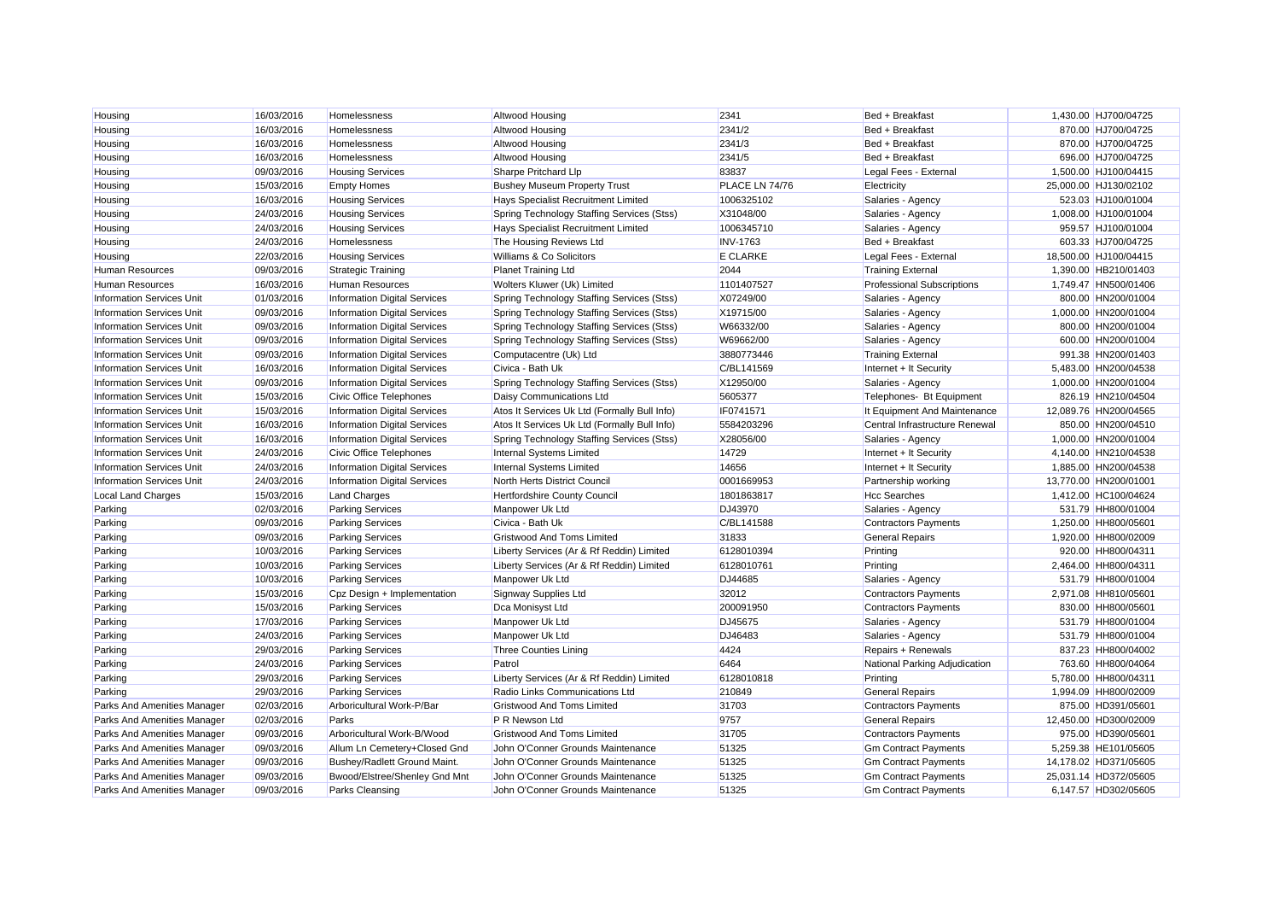| Housing                          | 16/03/2016<br>16/03/2016 | Homelessness<br>Homelessness        | <b>Altwood Housing</b><br><b>Altwood Housing</b> | 2341<br>2341/2  | Bed + Breakfast<br>Bed + Breakfast | 1,430.00 HJ700/04725<br>870.00 HJ700/04725 |
|----------------------------------|--------------------------|-------------------------------------|--------------------------------------------------|-----------------|------------------------------------|--------------------------------------------|
| Housing                          | 16/03/2016               | Homelessness                        | <b>Altwood Housing</b>                           | 2341/3          | Bed + Breakfast                    | 870.00 HJ700/04725                         |
| Housing                          |                          |                                     |                                                  |                 |                                    |                                            |
| Housing                          | 16/03/2016               | Homelessness                        | Altwood Housing                                  | 2341/5          | Bed + Breakfast                    | 696.00 HJ700/04725                         |
| Housing                          | 09/03/2016               | <b>Housing Services</b>             | Sharpe Pritchard Llp                             | 83837           | Legal Fees - External              | 1,500.00 HJ100/04415                       |
| Housing                          | 15/03/2016               | <b>Empty Homes</b>                  | <b>Bushey Museum Property Trust</b>              | PLACE LN 74/76  | Electricity                        | 25,000.00 HJ130/02102                      |
| Housing                          | 16/03/2016               | <b>Housing Services</b>             | Hays Specialist Recruitment Limited              | 1006325102      | Salaries - Agency                  | 523.03 HJ100/01004                         |
| Housing                          | 24/03/2016               | <b>Housing Services</b>             | Spring Technology Staffing Services (Stss)       | X31048/00       | Salaries - Agency                  | 1,008.00 HJ100/01004                       |
| Housing                          | 24/03/2016               | <b>Housing Services</b>             | Hays Specialist Recruitment Limited              | 1006345710      | Salaries - Agency                  | 959.57 HJ100/01004                         |
| Housing                          | 24/03/2016               | Homelessness                        | The Housing Reviews Ltd                          | <b>INV-1763</b> | Bed + Breakfast                    | 603.33 HJ700/04725                         |
| Housing                          | 22/03/2016               | <b>Housing Services</b>             | Williams & Co Solicitors                         | <b>E CLARKE</b> | Legal Fees - External              | 18,500.00 HJ100/04415                      |
| <b>Human Resources</b>           | 09/03/2016               | <b>Strategic Training</b>           | <b>Planet Training Ltd</b>                       | 2044            | <b>Training External</b>           | 1,390.00 HB210/01403                       |
| <b>Human Resources</b>           | 16/03/2016               | Human Resources                     | Wolters Kluwer (Uk) Limited                      | 1101407527      | <b>Professional Subscriptions</b>  | 1,749.47 HN500/01406                       |
| <b>Information Services Unit</b> | 01/03/2016               | <b>Information Digital Services</b> | Spring Technology Staffing Services (Stss)       | X07249/00       | Salaries - Agency                  | 800.00 HN200/01004                         |
| <b>Information Services Unit</b> | 09/03/2016               | <b>Information Digital Services</b> | Spring Technology Staffing Services (Stss)       | X19715/00       | Salaries - Agency                  | 1,000.00 HN200/01004                       |
| <b>Information Services Unit</b> | 09/03/2016               | <b>Information Digital Services</b> | Spring Technology Staffing Services (Stss)       | W66332/00       | Salaries - Agency                  | 800.00 HN200/01004                         |
| <b>Information Services Unit</b> | 09/03/2016               | <b>Information Digital Services</b> | Spring Technology Staffing Services (Stss)       | W69662/00       | Salaries - Agency                  | 600.00 HN200/01004                         |
| <b>Information Services Unit</b> | 09/03/2016               | <b>Information Digital Services</b> | Computacentre (Uk) Ltd                           | 3880773446      | <b>Training External</b>           | 991.38 HN200/01403                         |
| <b>Information Services Unit</b> | 16/03/2016               | <b>Information Digital Services</b> | Civica - Bath Uk                                 | C/BL141569      | Internet + It Security             | 5,483.00 HN200/04538                       |
| <b>Information Services Unit</b> | 09/03/2016               | <b>Information Digital Services</b> | Spring Technology Staffing Services (Stss)       | X12950/00       | Salaries - Agency                  | 1,000.00 HN200/01004                       |
| <b>Information Services Unit</b> | 15/03/2016               | <b>Civic Office Telephones</b>      | Daisy Communications Ltd                         | 5605377         | Telephones- Bt Equipment           | 826.19 HN210/04504                         |
| <b>Information Services Unit</b> | 15/03/2016               | <b>Information Digital Services</b> | Atos It Services Uk Ltd (Formally Bull Info)     | IF0741571       | It Equipment And Maintenance       | 12,089.76 HN200/04565                      |
| <b>Information Services Unit</b> | 16/03/2016               | <b>Information Digital Services</b> | Atos It Services Uk Ltd (Formally Bull Info)     | 5584203296      | Central Infrastructure Renewal     | 850.00 HN200/04510                         |
| <b>Information Services Unit</b> | 16/03/2016               | <b>Information Digital Services</b> | Spring Technology Staffing Services (Stss)       | X28056/00       | Salaries - Agency                  | 1,000.00 HN200/01004                       |
| <b>Information Services Unit</b> | 24/03/2016               | <b>Civic Office Telephones</b>      | Internal Systems Limited                         | 14729           | Internet + It Security             | 4,140.00 HN210/04538                       |
| <b>Information Services Unit</b> | 24/03/2016               | <b>Information Digital Services</b> | <b>Internal Systems Limited</b>                  | 14656           | Internet + It Security             | 1,885.00 HN200/04538                       |
| <b>Information Services Unit</b> | 24/03/2016               | <b>Information Digital Services</b> | North Herts District Council                     | 0001669953      | Partnership working                | 13,770.00 HN200/01001                      |
| <b>Local Land Charges</b>        | 15/03/2016               | <b>Land Charges</b>                 | <b>Hertfordshire County Council</b>              | 1801863817      | <b>Hcc Searches</b>                | 1,412.00 HC100/04624                       |
| Parking                          | 02/03/2016               | <b>Parking Services</b>             | Manpower Uk Ltd                                  | DJ43970         | Salaries - Agency                  | 531.79 HH800/01004                         |
| Parking                          | 09/03/2016               | <b>Parking Services</b>             | Civica - Bath Uk                                 | C/BL141588      | <b>Contractors Payments</b>        | 1,250.00 HH800/05601                       |
| Parking                          | 09/03/2016               | <b>Parking Services</b>             | <b>Gristwood And Toms Limited</b>                | 31833           | <b>General Repairs</b>             | 1,920.00 HH800/02009                       |
| Parking                          | 10/03/2016               | <b>Parking Services</b>             | Liberty Services (Ar & Rf Reddin) Limited        | 6128010394      | Printing                           | 920.00 HH800/04311                         |
| Parking                          | 10/03/2016               | <b>Parking Services</b>             | Liberty Services (Ar & Rf Reddin) Limited        | 6128010761      | Printing                           | 2,464.00 HH800/04311                       |
| Parking                          | 10/03/2016               | <b>Parking Services</b>             | Manpower Uk Ltd                                  | DJ44685         | Salaries - Agency                  | 531.79 HH800/01004                         |
| Parking                          | 15/03/2016               | Cpz Design + Implementation         | Signway Supplies Ltd                             | 32012           | <b>Contractors Payments</b>        | 2,971.08 HH810/05601                       |
| Parking                          | 15/03/2016               | <b>Parking Services</b>             | Dca Monisyst Ltd                                 | 200091950       | <b>Contractors Payments</b>        | 830.00 HH800/05601                         |
| Parking                          | 17/03/2016               | <b>Parking Services</b>             | Manpower Uk Ltd                                  | DJ45675         | Salaries - Agency                  | 531.79 HH800/01004                         |
| Parking                          | 24/03/2016               | <b>Parking Services</b>             | Manpower Uk Ltd                                  | DJ46483         | Salaries - Agency                  | 531.79 HH800/01004                         |
| Parking                          | 29/03/2016               | <b>Parking Services</b>             | <b>Three Counties Lining</b>                     | 4424            | Repairs + Renewals                 | 837.23 HH800/04002                         |
| Parking                          | 24/03/2016               | <b>Parking Services</b>             | Patrol                                           | 6464            | National Parking Adjudication      | 763.60 HH800/04064                         |
| Parking                          | 29/03/2016               | <b>Parking Services</b>             | Liberty Services (Ar & Rf Reddin) Limited        | 6128010818      | Printing                           | 5,780.00 HH800/04311                       |
| Parking                          | 29/03/2016               | <b>Parking Services</b>             | <b>Radio Links Communications Ltd</b>            | 210849          | <b>General Repairs</b>             | 1,994.09 HH800/02009                       |
| Parks And Amenities Manager      | 02/03/2016               | Arboricultural Work-P/Bar           | <b>Gristwood And Toms Limited</b>                | 31703           | <b>Contractors Payments</b>        | 875.00 HD391/05601                         |
| Parks And Amenities Manager      | 02/03/2016               | Parks                               | P R Newson Ltd                                   | 9757            | <b>General Repairs</b>             | 12,450.00 HD300/02009                      |
| Parks And Amenities Manager      | 09/03/2016               | Arboricultural Work-B/Wood          | <b>Gristwood And Toms Limited</b>                | 31705           | <b>Contractors Payments</b>        | 975.00 HD390/05601                         |
| Parks And Amenities Manager      | 09/03/2016               | Allum Ln Cemetery+Closed Gnd        | John O'Conner Grounds Maintenance                | 51325           | <b>Gm Contract Payments</b>        | 5,259.38 HE101/05605                       |
| Parks And Amenities Manager      | 09/03/2016               | Bushey/Radlett Ground Maint.        | John O'Conner Grounds Maintenance                | 51325           | <b>Gm Contract Payments</b>        | 14,178.02 HD371/05605                      |
| Parks And Amenities Manager      | 09/03/2016               | Bwood/Elstree/Shenley Gnd Mnt       | John O'Conner Grounds Maintenance                | 51325           | <b>Gm Contract Payments</b>        | 25.031.14 HD372/05605                      |
| Parks And Amenities Manager      | 09/03/2016               | Parks Cleansing                     | John O'Conner Grounds Maintenance                | 51325           | <b>Gm Contract Payments</b>        | 6.147.57 HD302/05605                       |
|                                  |                          |                                     |                                                  |                 |                                    |                                            |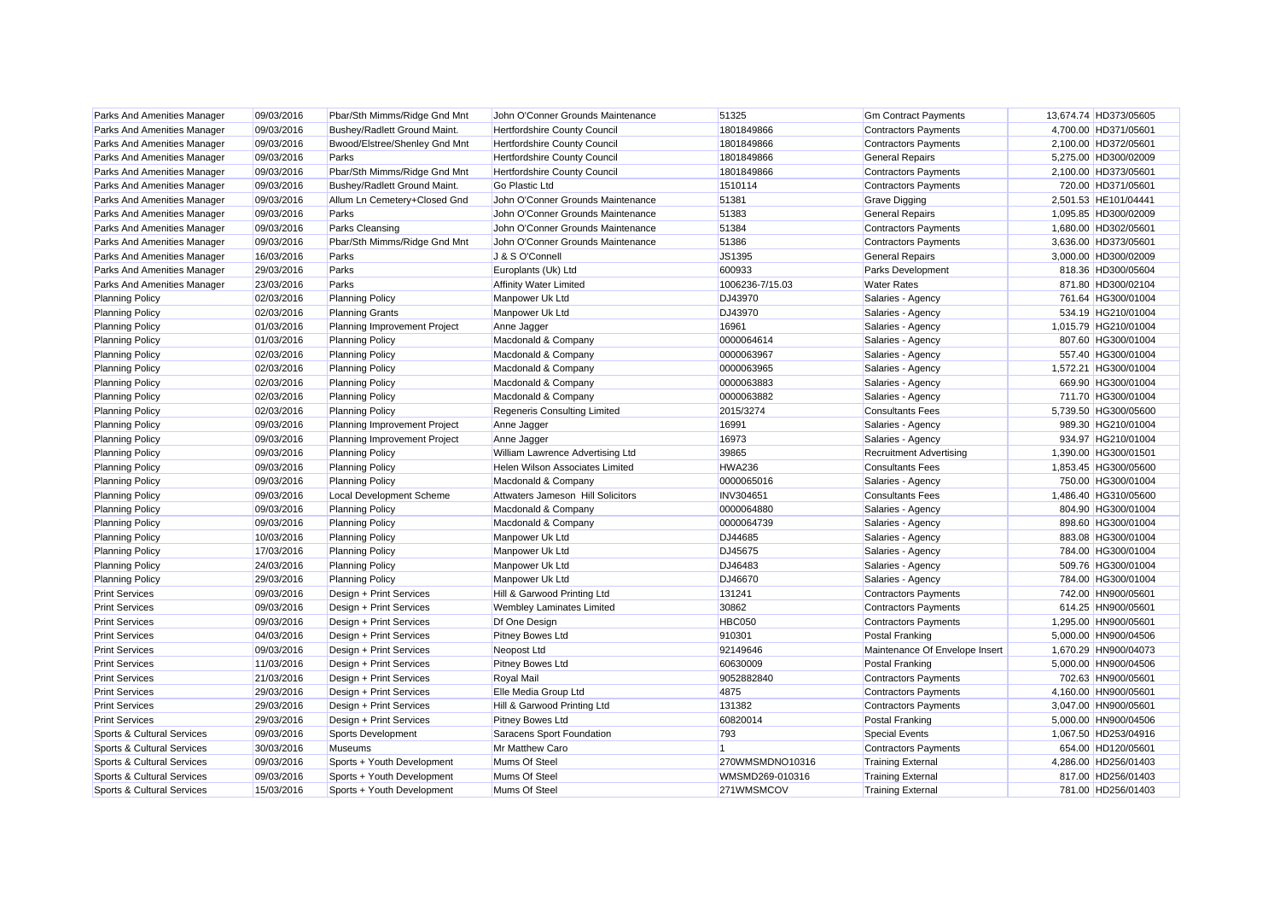| Parks And Amenities Manager | 09/03/2016 | Pbar/Sth Mimms/Ridge Gnd Mnt    | John O'Conner Grounds Maintenance        | 51325           | <b>Gm Contract Payments</b>    | 13,674.74 HD373/05605 |
|-----------------------------|------------|---------------------------------|------------------------------------------|-----------------|--------------------------------|-----------------------|
| Parks And Amenities Manager | 09/03/2016 | Bushey/Radlett Ground Maint.    | <b>Hertfordshire County Council</b>      | 1801849866      | <b>Contractors Payments</b>    | 4,700.00 HD371/05601  |
| Parks And Amenities Manager | 09/03/2016 | Bwood/Elstree/Shenley Gnd Mnt   | Hertfordshire County Council             | 1801849866      | <b>Contractors Payments</b>    | 2,100.00 HD372/05601  |
| Parks And Amenities Manager | 09/03/2016 | Parks                           | Hertfordshire County Council             | 1801849866      | <b>General Repairs</b>         | 5,275.00 HD300/02009  |
| Parks And Amenities Manager | 09/03/2016 | Pbar/Sth Mimms/Ridge Gnd Mnt    | Hertfordshire County Council             | 1801849866      | <b>Contractors Payments</b>    | 2,100.00 HD373/05601  |
| Parks And Amenities Manager | 09/03/2016 | Bushey/Radlett Ground Maint.    | Go Plastic Ltd                           | 1510114         | <b>Contractors Payments</b>    | 720.00 HD371/05601    |
| Parks And Amenities Manager | 09/03/2016 | Allum Ln Cemetery+Closed Gnd    | John O'Conner Grounds Maintenance        | 51381           | <b>Grave Digging</b>           | 2,501.53 HE101/04441  |
| Parks And Amenities Manager | 09/03/2016 | Parks                           | John O'Conner Grounds Maintenance        | 51383           | <b>General Repairs</b>         | 1,095.85 HD300/02009  |
| Parks And Amenities Manager | 09/03/2016 | Parks Cleansing                 | John O'Conner Grounds Maintenance        | 51384           | <b>Contractors Payments</b>    | 1,680.00 HD302/05601  |
| Parks And Amenities Manager | 09/03/2016 | Pbar/Sth Mimms/Ridge Gnd Mnt    | John O'Conner Grounds Maintenance        | 51386           | <b>Contractors Payments</b>    | 3,636.00 HD373/05601  |
| Parks And Amenities Manager | 16/03/2016 | Parks                           | J & S O'Connell                          | JS1395          | <b>General Repairs</b>         | 3,000.00 HD300/02009  |
| Parks And Amenities Manager | 29/03/2016 | Parks                           | Europlants (Uk) Ltd                      | 600933          | <b>Parks Development</b>       | 818.36 HD300/05604    |
| Parks And Amenities Manager | 23/03/2016 | Parks                           | <b>Affinity Water Limited</b>            | 1006236-7/15.03 | <b>Water Rates</b>             | 871.80 HD300/02104    |
| <b>Planning Policy</b>      | 02/03/2016 | <b>Planning Policy</b>          | Manpower Uk Ltd                          | DJ43970         | Salaries - Agency              | 761.64 HG300/01004    |
| <b>Planning Policy</b>      | 02/03/2016 | <b>Planning Grants</b>          | Manpower Uk Ltd                          | DJ43970         | Salaries - Agency              | 534.19 HG210/01004    |
| <b>Planning Policy</b>      | 01/03/2016 | Planning Improvement Project    | Anne Jagger                              | 16961           | Salaries - Agency              | 1,015.79 HG210/01004  |
| <b>Planning Policy</b>      | 01/03/2016 | <b>Planning Policy</b>          | Macdonald & Company                      | 0000064614      | Salaries - Agency              | 807.60 HG300/01004    |
| <b>Planning Policy</b>      | 02/03/2016 | <b>Planning Policy</b>          | Macdonald & Company                      | 0000063967      | Salaries - Agency              | 557.40 HG300/01004    |
| <b>Planning Policy</b>      | 02/03/2016 | <b>Planning Policy</b>          | Macdonald & Company                      | 0000063965      | Salaries - Agency              | 1,572.21 HG300/01004  |
| <b>Planning Policy</b>      | 02/03/2016 | <b>Planning Policy</b>          | Macdonald & Company                      | 0000063883      | Salaries - Agency              | 669.90 HG300/01004    |
| <b>Planning Policy</b>      | 02/03/2016 | <b>Planning Policy</b>          | Macdonald & Company                      | 0000063882      | Salaries - Agency              | 711.70 HG300/01004    |
| <b>Planning Policy</b>      | 02/03/2016 | <b>Planning Policy</b>          | Regeneris Consulting Limited             | 2015/3274       | <b>Consultants Fees</b>        | 5,739.50 HG300/05600  |
| <b>Planning Policy</b>      | 09/03/2016 | Planning Improvement Project    | Anne Jagger                              | 16991           | Salaries - Agency              | 989.30 HG210/01004    |
| <b>Planning Policy</b>      | 09/03/2016 | Planning Improvement Project    | Anne Jagger                              | 16973           | Salaries - Agency              | 934.97 HG210/01004    |
| <b>Planning Policy</b>      | 09/03/2016 | <b>Planning Policy</b>          | William Lawrence Advertising Ltd         | 39865           | <b>Recruitment Advertising</b> | 1,390.00 HG300/01501  |
| <b>Planning Policy</b>      | 09/03/2016 | <b>Planning Policy</b>          | Helen Wilson Associates Limited          | <b>HWA236</b>   | <b>Consultants Fees</b>        | 1,853.45 HG300/05600  |
| <b>Planning Policy</b>      | 09/03/2016 | <b>Planning Policy</b>          | Macdonald & Company                      | 0000065016      | Salaries - Agency              | 750.00 HG300/01004    |
| <b>Planning Policy</b>      | 09/03/2016 | <b>Local Development Scheme</b> | <b>Attwaters Jameson Hill Solicitors</b> | INV304651       | <b>Consultants Fees</b>        | 1,486.40 HG310/05600  |
| <b>Planning Policy</b>      | 09/03/2016 | <b>Planning Policy</b>          | Macdonald & Company                      | 0000064880      | Salaries - Agency              | 804.90 HG300/01004    |
| <b>Planning Policy</b>      | 09/03/2016 | <b>Planning Policy</b>          | Macdonald & Company                      | 0000064739      | Salaries - Agency              | 898.60 HG300/01004    |
| <b>Planning Policy</b>      | 10/03/2016 | <b>Planning Policy</b>          | Manpower Uk Ltd                          | DJ44685         | Salaries - Agency              | 883.08 HG300/01004    |
| <b>Planning Policy</b>      | 17/03/2016 | <b>Planning Policy</b>          | Manpower Uk Ltd                          | DJ45675         | Salaries - Agency              | 784.00 HG300/01004    |
| <b>Planning Policy</b>      | 24/03/2016 | <b>Planning Policy</b>          | Manpower Uk Ltd                          | DJ46483         | Salaries - Agency              | 509.76 HG300/01004    |
| <b>Planning Policy</b>      | 29/03/2016 | <b>Planning Policy</b>          | Manpower Uk Ltd                          | DJ46670         | Salaries - Agency              | 784.00 HG300/01004    |
| <b>Print Services</b>       | 09/03/2016 | Design + Print Services         | Hill & Garwood Printing Ltd              | 131241          | <b>Contractors Payments</b>    | 742.00 HN900/05601    |
| <b>Print Services</b>       | 09/03/2016 | Design + Print Services         | <b>Wembley Laminates Limited</b>         | 30862           | <b>Contractors Payments</b>    | 614.25 HN900/05601    |
| <b>Print Services</b>       | 09/03/2016 | Design + Print Services         | Df One Design                            | <b>HBC050</b>   | <b>Contractors Payments</b>    | 1,295.00 HN900/05601  |
| <b>Print Services</b>       | 04/03/2016 | Design + Print Services         | Pitney Bowes Ltd                         | 910301          | <b>Postal Franking</b>         | 5,000.00 HN900/04506  |
| <b>Print Services</b>       | 09/03/2016 | Design + Print Services         | Neopost Ltd                              | 92149646        | Maintenance Of Envelope Insert | 1,670.29 HN900/04073  |
| <b>Print Services</b>       | 11/03/2016 | Design + Print Services         | Pitney Bowes Ltd                         | 60630009        | <b>Postal Franking</b>         | 5,000.00 HN900/04506  |
| <b>Print Services</b>       | 21/03/2016 | Design + Print Services         | Royal Mail                               | 9052882840      | <b>Contractors Payments</b>    | 702.63 HN900/05601    |
| <b>Print Services</b>       | 29/03/2016 | Design + Print Services         | Elle Media Group Ltd                     | 4875            | <b>Contractors Payments</b>    | 4,160.00 HN900/05601  |
| <b>Print Services</b>       | 29/03/2016 | Design + Print Services         | Hill & Garwood Printing Ltd              | 131382          | <b>Contractors Payments</b>    | 3,047.00 HN900/05601  |
| <b>Print Services</b>       | 29/03/2016 | Design + Print Services         | Pitney Bowes Ltd                         | 60820014        | <b>Postal Franking</b>         | 5,000.00 HN900/04506  |
| Sports & Cultural Services  | 09/03/2016 | <b>Sports Development</b>       | Saracens Sport Foundation                | 793             | <b>Special Events</b>          | 1,067.50 HD253/04916  |
| Sports & Cultural Services  | 30/03/2016 | Museums                         | Mr Matthew Caro                          | $\vert$ 1       | <b>Contractors Payments</b>    | 654.00 HD120/05601    |
| Sports & Cultural Services  | 09/03/2016 | Sports + Youth Development      | Mums Of Steel                            | 270WMSMDNO10316 | <b>Training External</b>       | 4,286.00 HD256/01403  |
| Sports & Cultural Services  | 09/03/2016 | Sports + Youth Development      | Mums Of Steel                            | WMSMD269-010316 | <b>Training External</b>       | 817.00 HD256/01403    |
| Sports & Cultural Services  | 15/03/2016 | Sports + Youth Development      | Mums Of Steel                            | 271WMSMCOV      | <b>Training External</b>       | 781.00 HD256/01403    |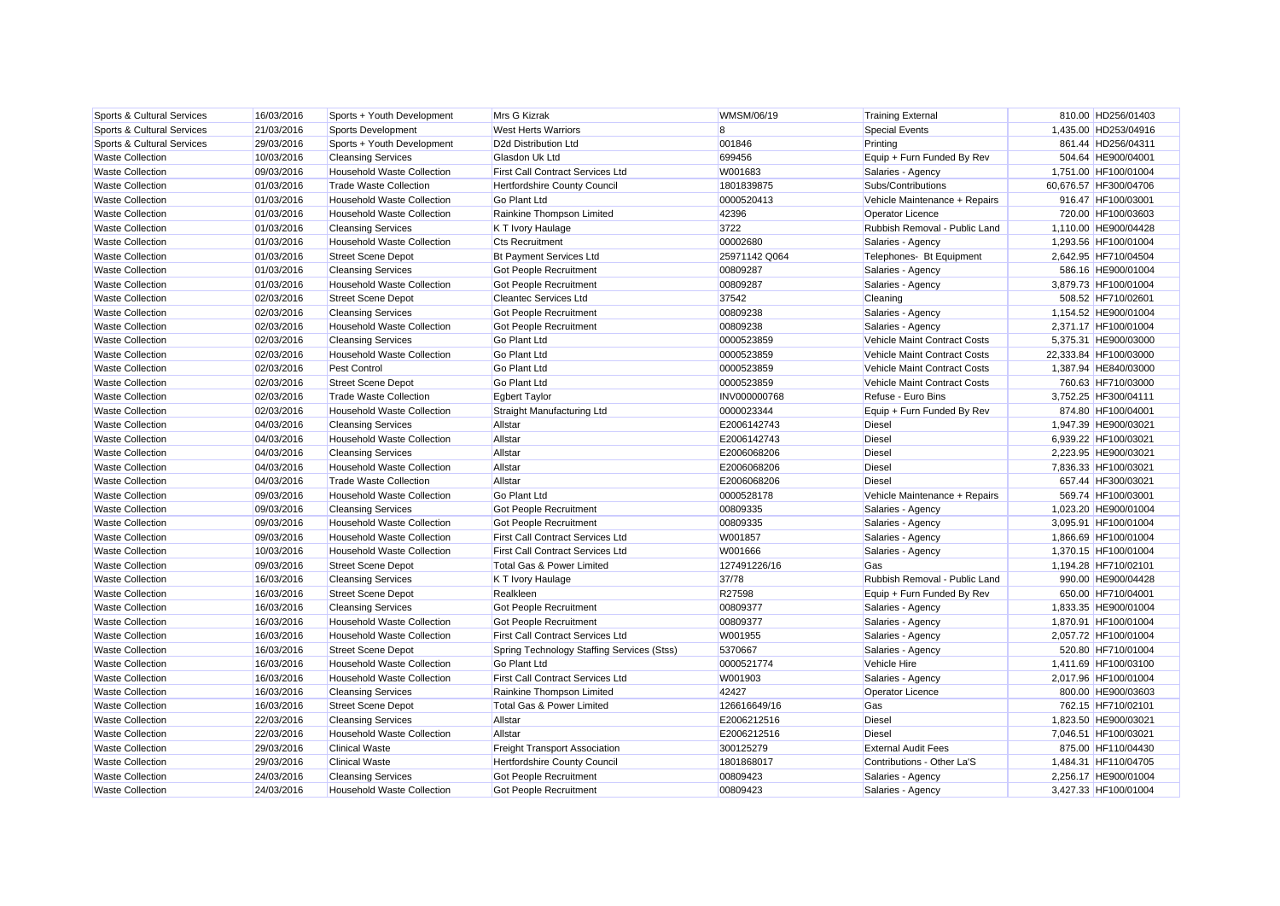| Sports & Cultural Services | 16/03/2016 | Sports + Youth Development        | Mrs G Kizrak                               | WMSM/06/19    | <b>Training External</b>      | 810.00 HD256/01403    |
|----------------------------|------------|-----------------------------------|--------------------------------------------|---------------|-------------------------------|-----------------------|
| Sports & Cultural Services | 21/03/2016 | Sports Development                | <b>West Herts Warriors</b>                 | 8             | <b>Special Events</b>         | 1,435.00 HD253/04916  |
| Sports & Cultural Services | 29/03/2016 | Sports + Youth Development        | D <sub>2d</sub> Distribution Ltd           | 001846        | Printing                      | 861.44 HD256/04311    |
| <b>Waste Collection</b>    | 10/03/2016 | <b>Cleansing Services</b>         | Glasdon Uk Ltd                             | 699456        | Equip + Furn Funded By Rev    | 504.64 HE900/04001    |
| <b>Waste Collection</b>    | 09/03/2016 | Household Waste Collection        | <b>First Call Contract Services Ltd</b>    | W001683       | Salaries - Agency             | 1,751.00 HF100/01004  |
| <b>Waste Collection</b>    | 01/03/2016 | <b>Trade Waste Collection</b>     | <b>Hertfordshire County Council</b>        | 1801839875    | Subs/Contributions            | 60,676.57 HF300/04706 |
| <b>Waste Collection</b>    | 01/03/2016 | <b>Household Waste Collection</b> | <b>Go Plant Ltd</b>                        | 0000520413    | Vehicle Maintenance + Repairs | 916.47 HF100/03001    |
| <b>Waste Collection</b>    | 01/03/2016 | <b>Household Waste Collection</b> | Rainkine Thompson Limited                  | 42396         | Operator Licence              | 720.00 HF100/03603    |
| <b>Waste Collection</b>    | 01/03/2016 | <b>Cleansing Services</b>         | K T Ivory Haulage                          | 3722          | Rubbish Removal - Public Land | 1,110.00 HE900/04428  |
| <b>Waste Collection</b>    | 01/03/2016 | Household Waste Collection        | <b>Cts Recruitment</b>                     | 00002680      | Salaries - Agency             | 1,293.56 HF100/01004  |
| <b>Waste Collection</b>    | 01/03/2016 | <b>Street Scene Depot</b>         | <b>Bt Payment Services Ltd</b>             | 25971142 Q064 | Telephones- Bt Equipment      | 2,642.95 HF710/04504  |
| <b>Waste Collection</b>    | 01/03/2016 | <b>Cleansing Services</b>         | Got People Recruitment                     | 00809287      | Salaries - Agency             | 586.16 HE900/01004    |
| <b>Waste Collection</b>    | 01/03/2016 | Household Waste Collection        | Got People Recruitment                     | 00809287      | Salaries - Agency             | 3,879.73 HF100/01004  |
| <b>Waste Collection</b>    | 02/03/2016 | <b>Street Scene Depot</b>         | <b>Cleantec Services Ltd</b>               | 37542         | Cleaning                      | 508.52 HF710/02601    |
| <b>Waste Collection</b>    | 02/03/2016 | <b>Cleansing Services</b>         | <b>Got People Recruitment</b>              | 00809238      | Salaries - Agency             | 1,154.52 HE900/01004  |
| <b>Waste Collection</b>    | 02/03/2016 | Household Waste Collection        | Got People Recruitment                     | 00809238      | Salaries - Agency             | 2,371.17 HF100/01004  |
| <b>Waste Collection</b>    | 02/03/2016 | <b>Cleansing Services</b>         | <b>Go Plant Ltd</b>                        | 0000523859    | Vehicle Maint Contract Costs  | 5,375.31 HE900/03000  |
| <b>Waste Collection</b>    | 02/03/2016 | <b>Household Waste Collection</b> | <b>Go Plant Ltd</b>                        | 0000523859    | Vehicle Maint Contract Costs  | 22,333.84 HF100/03000 |
| <b>Waste Collection</b>    | 02/03/2016 | Pest Control                      | <b>Go Plant Ltd</b>                        | 0000523859    | Vehicle Maint Contract Costs  | 1,387.94 HE840/03000  |
| <b>Waste Collection</b>    | 02/03/2016 | <b>Street Scene Depot</b>         | <b>Go Plant Ltd</b>                        | 0000523859    | Vehicle Maint Contract Costs  | 760.63 HF710/03000    |
| <b>Waste Collection</b>    | 02/03/2016 | <b>Trade Waste Collection</b>     | <b>Egbert Taylor</b>                       | INV000000768  | Refuse - Euro Bins            | 3,752.25 HF300/04111  |
| <b>Waste Collection</b>    | 02/03/2016 | <b>Household Waste Collection</b> | Straight Manufacturing Ltd                 | 0000023344    | Equip + Furn Funded By Rev    | 874.80 HF100/04001    |
| <b>Waste Collection</b>    | 04/03/2016 | <b>Cleansing Services</b>         | Allstar                                    | E2006142743   | <b>Diesel</b>                 | 1,947.39 HE900/03021  |
| <b>Waste Collection</b>    | 04/03/2016 | Household Waste Collection        | Allstar                                    | E2006142743   | <b>Diesel</b>                 | 6,939.22 HF100/03021  |
| <b>Waste Collection</b>    | 04/03/2016 | <b>Cleansing Services</b>         | Allstar                                    | E2006068206   | <b>Diesel</b>                 | 2,223.95 HE900/03021  |
| <b>Waste Collection</b>    | 04/03/2016 | <b>Household Waste Collection</b> | Allstar                                    | E2006068206   | <b>Diesel</b>                 | 7,836.33 HF100/03021  |
| <b>Waste Collection</b>    | 04/03/2016 | <b>Trade Waste Collection</b>     | Allstar                                    | E2006068206   | Diesel                        | 657.44 HF300/03021    |
| <b>Waste Collection</b>    | 09/03/2016 | <b>Household Waste Collection</b> | <b>Go Plant Ltd</b>                        | 0000528178    | Vehicle Maintenance + Repairs | 569.74 HF100/03001    |
| <b>Waste Collection</b>    | 09/03/2016 | <b>Cleansing Services</b>         | Got People Recruitment                     | 00809335      | Salaries - Agency             | 1,023.20 HE900/01004  |
| <b>Waste Collection</b>    | 09/03/2016 | <b>Household Waste Collection</b> | <b>Got People Recruitment</b>              | 00809335      | Salaries - Agency             | 3.095.91 HF100/01004  |
| <b>Waste Collection</b>    | 09/03/2016 | <b>Household Waste Collection</b> | <b>First Call Contract Services Ltd</b>    | W001857       | Salaries - Agency             | 1,866.69 HF100/01004  |
| <b>Waste Collection</b>    | 10/03/2016 | Household Waste Collection        | <b>First Call Contract Services Ltd</b>    | W001666       | Salaries - Agency             | 1,370.15 HF100/01004  |
| <b>Waste Collection</b>    | 09/03/2016 | <b>Street Scene Depot</b>         | Total Gas & Power Limited                  | 127491226/16  | Gas                           | 1,194.28 HF710/02101  |
| <b>Waste Collection</b>    | 16/03/2016 | <b>Cleansing Services</b>         | K T Ivory Haulage                          | 37/78         | Rubbish Removal - Public Land | 990.00 HE900/04428    |
| <b>Waste Collection</b>    | 16/03/2016 | <b>Street Scene Depot</b>         | Realkleen                                  | R27598        | Equip + Furn Funded By Rev    | 650.00 HF710/04001    |
| <b>Waste Collection</b>    | 16/03/2016 | <b>Cleansing Services</b>         | Got People Recruitment                     | 00809377      | Salaries - Agency             | 1,833.35 HE900/01004  |
| <b>Waste Collection</b>    | 16/03/2016 | <b>Household Waste Collection</b> | Got People Recruitment                     | 00809377      | Salaries - Agency             | 1,870.91 HF100/01004  |
| <b>Waste Collection</b>    | 16/03/2016 | Household Waste Collection        | First Call Contract Services Ltd           | W001955       | Salaries - Agency             | 2,057.72 HF100/01004  |
| <b>Waste Collection</b>    | 16/03/2016 | <b>Street Scene Depot</b>         | Spring Technology Staffing Services (Stss) | 5370667       | Salaries - Agency             | 520.80 HF710/01004    |
| <b>Waste Collection</b>    | 16/03/2016 | <b>Household Waste Collection</b> | <b>Go Plant Ltd</b>                        | 0000521774    | Vehicle Hire                  | 1,411.69 HF100/03100  |
| <b>Waste Collection</b>    | 16/03/2016 | <b>Household Waste Collection</b> | <b>First Call Contract Services Ltd</b>    | W001903       | Salaries - Agency             | 2,017.96 HF100/01004  |
| <b>Waste Collection</b>    | 16/03/2016 | <b>Cleansing Services</b>         | Rainkine Thompson Limited                  | 42427         | <b>Operator Licence</b>       | 800.00 HE900/03603    |
| <b>Waste Collection</b>    | 16/03/2016 | <b>Street Scene Depot</b>         | Total Gas & Power Limited                  | 126616649/16  | Gas                           | 762.15 HF710/02101    |
| <b>Waste Collection</b>    | 22/03/2016 | <b>Cleansing Services</b>         | Allstar                                    | E2006212516   | <b>Diesel</b>                 | 1,823.50 HE900/03021  |
| <b>Waste Collection</b>    | 22/03/2016 | <b>Household Waste Collection</b> | Allstar                                    | E2006212516   | <b>Diesel</b>                 | 7,046.51 HF100/03021  |
| <b>Waste Collection</b>    | 29/03/2016 | <b>Clinical Waste</b>             | <b>Freight Transport Association</b>       | 300125279     | <b>External Audit Fees</b>    | 875.00 HF110/04430    |
| <b>Waste Collection</b>    | 29/03/2016 | <b>Clinical Waste</b>             | Hertfordshire County Council               | 1801868017    | Contributions - Other La'S    | 1,484.31 HF110/04705  |
| <b>Waste Collection</b>    | 24/03/2016 | <b>Cleansing Services</b>         | Got People Recruitment                     | 00809423      | Salaries - Agency             | 2.256.17 HE900/01004  |
| <b>Waste Collection</b>    | 24/03/2016 | <b>Household Waste Collection</b> | <b>Got People Recruitment</b>              | 00809423      | Salaries - Agency             | 3.427.33 HF100/01004  |